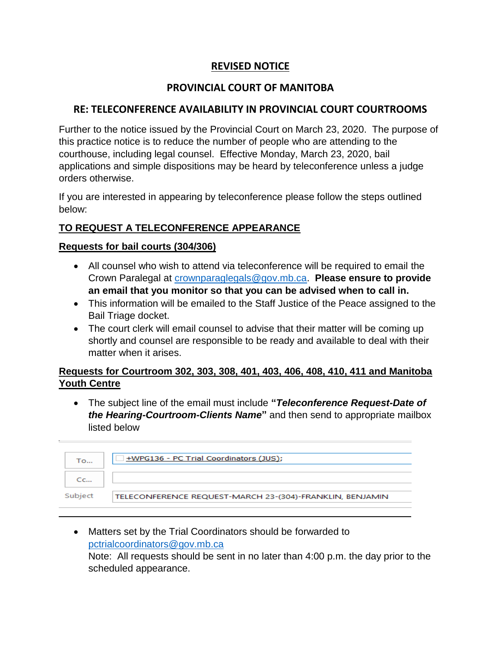# **REVISED NOTICE**

## **PROVINCIAL COURT OF MANITOBA**

## **RE: TELECONFERENCE AVAILABILITY IN PROVINCIAL COURT COURTROOMS**

Further to the notice issued by the Provincial Court on March 23, 2020. The purpose of this practice notice is to reduce the number of people who are attending to the courthouse, including legal counsel. Effective Monday, March 23, 2020, bail applications and simple dispositions may be heard by teleconference unless a judge orders otherwise.

If you are interested in appearing by teleconference please follow the steps outlined below:

## **TO REQUEST A TELECONFERENCE APPEARANCE**

#### **Requests for bail courts (304/306)**

- All counsel who wish to attend via teleconference will be required to email the Crown Paralegal at [crownparaglegals@gov.mb.ca.](mailto:crownparaglegals@gov.mb.ca) **Please ensure to provide an email that you monitor so that you can be advised when to call in.**
- This information will be emailed to the Staff Justice of the Peace assigned to the Bail Triage docket.
- The court clerk will email counsel to advise that their matter will be coming up shortly and counsel are responsible to be ready and available to deal with their matter when it arises.

## **Requests for Courtroom 302, 303, 308, 401, 403, 406, 408, 410, 411 and Manitoba Youth Centre**

 The subject line of the email must include **"***Teleconference Request-Date of the Hearing-Courtroom-Clients Name***"** and then send to appropriate mailbox listed below

| Тo          | +WPG136 - PC Trial Coordinators (JUS);                   |
|-------------|----------------------------------------------------------|
| $C_{\rm C}$ |                                                          |
| Subject     | TELECONFERENCE REQUEST-MARCH 23-(304)-FRANKLIN, BENJAMIN |

 Matters set by the Trial Coordinators should be forwarded to [pctrialcoordinators@gov.mb.ca](mailto:pctrialcoordinators@gov.mb.ca) Note: All requests should be sent in no later than 4:00 p.m. the day prior to the scheduled appearance.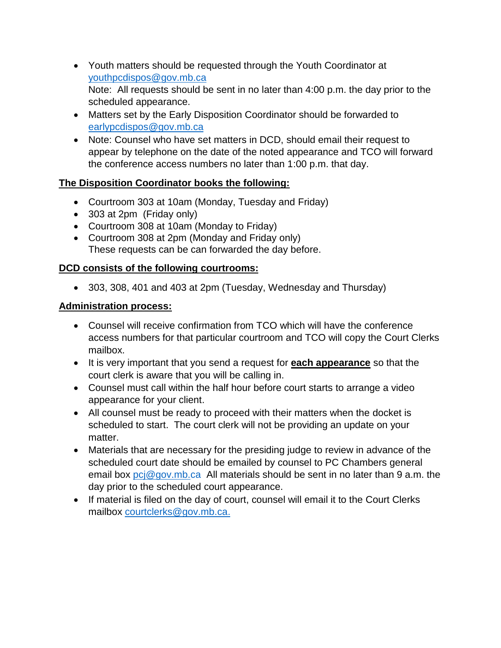- Youth matters should be requested through the Youth Coordinator at [youthpcdispos@gov.mb.ca](mailto:youthpcdispos@gov.mb.ca) Note: All requests should be sent in no later than 4:00 p.m. the day prior to the scheduled appearance.
- Matters set by the Early Disposition Coordinator should be forwarded to [earlypcdispos@gov.mb.ca](mailto:earlypcdispos@gov.mb.ca)
- Note: Counsel who have set matters in DCD, should email their request to appear by telephone on the date of the noted appearance and TCO will forward the conference access numbers no later than 1:00 p.m. that day.

#### **The Disposition Coordinator books the following:**

- Courtroom 303 at 10am (Monday, Tuesday and Friday)
- 303 at 2pm (Friday only)
- Courtroom 308 at 10am (Monday to Friday)
- Courtroom 308 at 2pm (Monday and Friday only) These requests can be can forwarded the day before.

## **DCD consists of the following courtrooms:**

303, 308, 401 and 403 at 2pm (Tuesday, Wednesday and Thursday)

#### **Administration process:**

- Counsel will receive confirmation from TCO which will have the conference access numbers for that particular courtroom and TCO will copy the Court Clerks mailbox.
- It is very important that you send a request for **each appearance** so that the court clerk is aware that you will be calling in.
- Counsel must call within the half hour before court starts to arrange a video appearance for your client.
- All counsel must be ready to proceed with their matters when the docket is scheduled to start. The court clerk will not be providing an update on your matter.
- Materials that are necessary for the presiding judge to review in advance of the scheduled court date should be emailed by counsel to PC Chambers general email box  $\text{pci@gov.mb.ca}$  All materials should be sent in no later than 9 a.m. the day prior to the scheduled court appearance.
- If material is filed on the day of court, counsel will email it to the Court Clerks mailbox [courtclerks@gov.mb.ca.](mailto:courtclerks@gov.mb.ca)